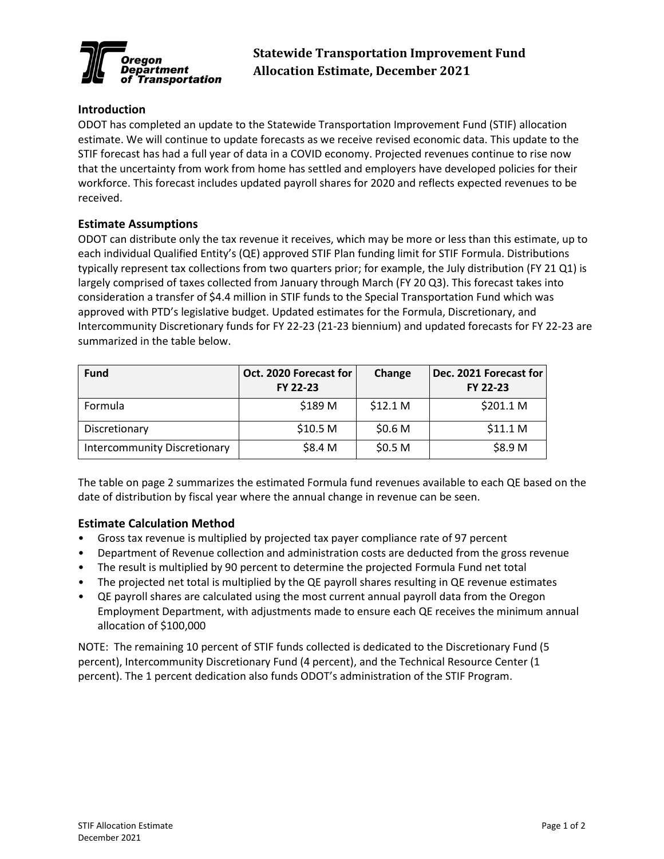

## **Introduction**

ODOT has completed an update to the Statewide Transportation Improvement Fund (STIF) allocation estimate. We will continue to update forecasts as we receive revised economic data. This update to the STIF forecast has had a full year of data in a COVID economy. Projected revenues continue to rise now that the uncertainty from work from home has settled and employers have developed policies for their workforce. This forecast includes updated payroll shares for 2020 and reflects expected revenues to be received.

## **Estimate Assumptions**

ODOT can distribute only the tax revenue it receives, which may be more or less than this estimate, up to each individual Qualified Entity's (QE) approved STIF Plan funding limit for STIF Formula. Distributions typically represent tax collections from two quarters prior; for example, the July distribution (FY 21 Q1) is largely comprised of taxes collected from January through March (FY 20 Q3). This forecast takes into consideration a transfer of \$4.4 million in STIF funds to the Special Transportation Fund which was approved with PTD's legislative budget. Updated estimates for the Formula, Discretionary, and Intercommunity Discretionary funds for FY 22-23 (21-23 biennium) and updated forecasts for FY 22-23 are summarized in the table below.

| <b>Fund</b>                         | Oct. 2020 Forecast for<br>FY 22-23 | Change              | Dec. 2021 Forecast for<br>FY 22-23 |  |  |  |  |  |
|-------------------------------------|------------------------------------|---------------------|------------------------------------|--|--|--|--|--|
| Formula                             | \$189 M                            | \$12.1 <sub>M</sub> | \$201.1 M                          |  |  |  |  |  |
| Discretionary                       | \$10.5 <sub>M</sub>                | \$0.6 <sub>M</sub>  | \$11.1 M                           |  |  |  |  |  |
| <b>Intercommunity Discretionary</b> | \$8.4 M                            | \$0.5 <sub>M</sub>  | \$8.9 M                            |  |  |  |  |  |

The table on page 2 summarizes the estimated Formula fund revenues available to each QE based on the date of distribution by fiscal year where the annual change in revenue can be seen.

## **Estimate Calculation Method**

- Gross tax revenue is multiplied by projected tax payer compliance rate of 97 percent
- Department of Revenue collection and administration costs are deducted from the gross revenue
- The result is multiplied by 90 percent to determine the projected Formula Fund net total
- The projected net total is multiplied by the QE payroll shares resulting in QE revenue estimates
- QE payroll shares are calculated using the most current annual payroll data from the Oregon Employment Department, with adjustments made to ensure each QE receives the minimum annual allocation of \$100,000

NOTE: The remaining 10 percent of STIF funds collected is dedicated to the Discretionary Fund (5 percent), Intercommunity Discretionary Fund (4 percent), and the Technical Resource Center (1 percent). The 1 percent dedication also funds ODOT's administration of the STIF Program.